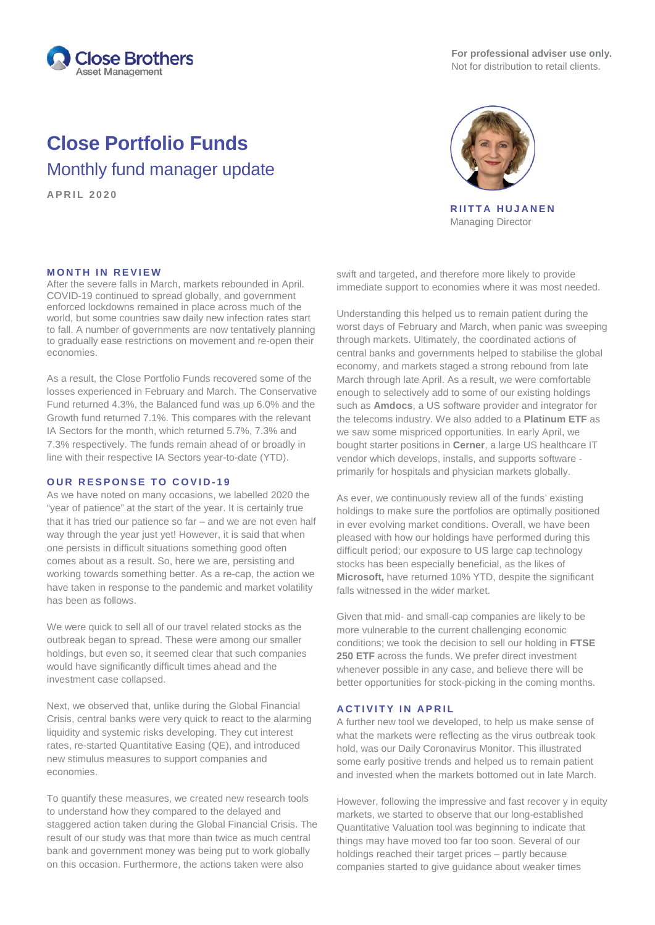

**For professional adviser use only.** Not for distribution to retail clients.

# **Close Portfolio Funds** Monthly fund manager update

**APRIL 2020**



**RIITTA HUJANEN** Managing Director

## **MONTH IN REVIEW**

After the severe falls in March, markets rebounded in April. COVID-19 continued to spread globally, and government enforced lockdowns remained in place across much of the world, but some countries saw daily new infection rates start to fall. A number of governments are now tentatively planning to gradually ease restrictions on movement and re-open their economies.

As a result, the Close Portfolio Funds recovered some of the losses experienced in February and March. The Conservative Fund returned 4.3%, the Balanced fund was up 6.0% and the Growth fund returned 7.1%. This compares with the relevant IA Sectors for the month, which returned 5.7%, 7.3% and 7.3% respectively. The funds remain ahead of or broadly in line with their respective IA Sectors year-to-date (YTD).

### **OUR RESPONSE TO COVID-19**

As we have noted on many occasions, we labelled 2020 the "year of patience" at the start of the year. It is certainly true that it has tried our patience so far – and we are not even half way through the year just yet! However, it is said that when one persists in difficult situations something good often comes about as a result. So, here we are, persisting and working towards something better. As a re-cap, the action we have taken in response to the pandemic and market volatility has been as follows.

We were quick to sell all of our travel related stocks as the outbreak began to spread. These were among our smaller holdings, but even so, it seemed clear that such companies would have significantly difficult times ahead and the investment case collapsed.

Next, we observed that, unlike during the Global Financial Crisis, central banks were very quick to react to the alarming liquidity and systemic risks developing. They cut interest rates, re-started Quantitative Easing (QE), and introduced new stimulus measures to support companies and economies.

To quantify these measures, we created new research tools to understand how they compared to the delayed and staggered action taken during the Global Financial Crisis. The result of our study was that more than twice as much central bank and government money was being put to work globally on this occasion. Furthermore, the actions taken were also

swift and targeted, and therefore more likely to provide immediate support to economies where it was most needed.

Understanding this helped us to remain patient during the worst days of February and March, when panic was sweeping through markets. Ultimately, the coordinated actions of central banks and governments helped to stabilise the global economy, and markets staged a strong rebound from late March through late April. As a result, we were comfortable enough to selectively add to some of our existing holdings such as **Amdocs**, a US software provider and integrator for the telecoms industry. We also added to a **Platinum ETF** as we saw some mispriced opportunities. In early April, we bought starter positions in **Cerner**, a large US healthcare IT vendor which develops, installs, and supports software primarily for hospitals and physician markets globally.

As ever, we continuously review all of the funds' existing holdings to make sure the portfolios are optimally positioned in ever evolving market conditions. Overall, we have been pleased with how our holdings have performed during this difficult period; our exposure to US large cap technology stocks has been especially beneficial, as the likes of **Microsoft,** have returned 10% YTD, despite the significant falls witnessed in the wider market.

Given that mid- and small-cap companies are likely to be more vulnerable to the current challenging economic conditions; we took the decision to sell our holding in **FTSE 250 ETF** across the funds. We prefer direct investment whenever possible in any case, and believe there will be better opportunities for stock-picking in the coming months.

#### **ACTIVITY IN APRIL**

A further new tool we developed, to help us make sense of what the markets were reflecting as the virus outbreak took hold, was our Daily Coronavirus Monitor. This illustrated some early positive trends and helped us to remain patient and invested when the markets bottomed out in late March.

However, following the impressive and fast recover y in equity markets, we started to observe that our long-established Quantitative Valuation tool was beginning to indicate that things may have moved too far too soon. Several of our holdings reached their target prices – partly because companies started to give guidance about weaker times